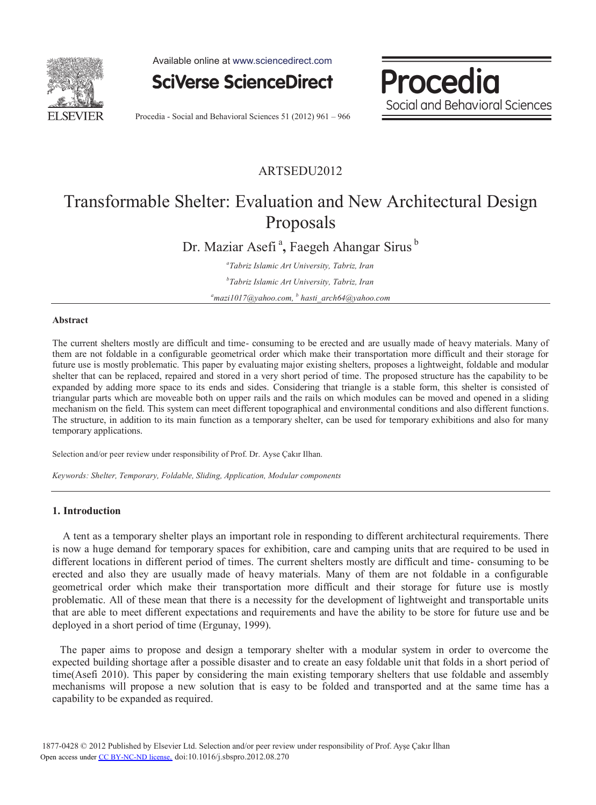

Available online at www.sciencedirect.com



Procedia Social and Behavioral Sciences

Procedia - Social and Behavioral Sciences 51 (2012) 961 – 966

### ARTSEDU2012

# Transformable Shelter: Evaluation and New Architectural Design Proposals

Dr. Maziar Asefi<sup>a</sup>, Faegeh Ahangar Sirus<sup>b</sup>

*a Tabriz Islamic Art University, Tabriz, Iran b Tabriz Islamic Art University, Tabriz, Iran*  <sup>a</sup>mazi1017@yahoo.com, <sup>*b*</sup> hasti\_arch64@yahoo.com

#### **Abstract**

The current shelters mostly are difficult and time- consuming to be erected and are usually made of heavy materials. Many of them are not foldable in a configurable geometrical order which make their transportation more difficult and their storage for future use is mostly problematic. This paper by evaluating major existing shelters, proposes a lightweight, foldable and modular shelter that can be replaced, repaired and stored in a very short period of time. The proposed structure has the capability to be expanded by adding more space to its ends and sides. Considering that triangle is a stable form, this shelter is consisted of triangular parts which are moveable both on upper rails and the rails on which modules can be moved and opened in a sliding mechanism on the field. This system can meet different topographical and environmental conditions and also different functions. The structure, in addition to its main function as a temporary shelter, can be used for temporary exhibitions and also for many temporary applications.

Selection and/or peer review under responsibility of Prof. Dr. Ayse Çakır Ilhan.

*Keywords: Shelter, Temporary, Foldable, Sliding, Application, Modular components* 

#### **1. Introduction**

 A tent as a temporary shelter plays an important role in responding to different architectural requirements. There is now a huge demand for temporary spaces for exhibition, care and camping units that are required to be used in different locations in different period of times. The current shelters mostly are difficult and time- consuming to be erected and also they are usually made of heavy materials. Many of them are not foldable in a configurable geometrical order which make their transportation more difficult and their storage for future use is mostly problematic. All of these mean that there is a necessity for the development of lightweight and transportable units that are able to meet different expectations and requirements and have the ability to be store for future use and be deployed in a short period of time (Ergunay, 1999).

 The paper aims to propose and design a temporary shelter with a modular system in order to overcome the expected building shortage after a possible disaster and to create an easy foldable unit that folds in a short period of time(Asefi 2010). This paper by considering the main existing temporary shelters that use foldable and assembly mechanisms will propose a new solution that is easy to be folded and transported and at the same time has a capability to be expanded as required.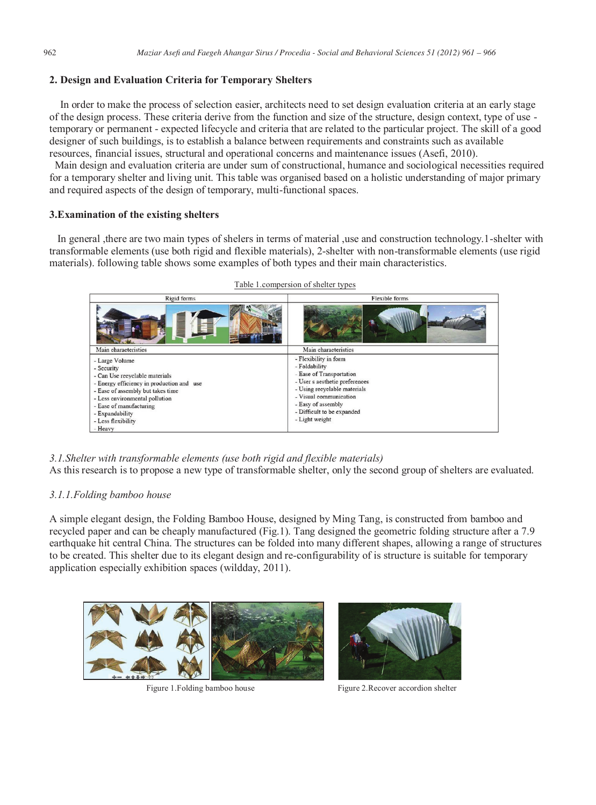### **2. Design and Evaluation Criteria for Temporary Shelters**

 In order to make the process of selection easier, architects need to set design evaluation criteria at an early stage of the design process. These criteria derive from the function and size of the structure, design context, type of use temporary or permanent - expected lifecycle and criteria that are related to the particular project. The skill of a good designer of such buildings, is to establish a balance between requirements and constraints such as available resources, financial issues, structural and operational concerns and maintenance issues (Asefi, 2010).

 Main design and evaluation criteria are under sum of constructional, humance and sociological necessities required for a temporary shelter and living unit. This table was organised based on a holistic understanding of major primary and required aspects of the design of temporary, multi-functional spaces.

#### **3.Examination of the existing shelters**

 In general ,there are two main types of shelers in terms of material ,use and construction technology.1-shelter with transformable elements (use both rigid and flexible materials), 2-shelter with non-transformable elements (use rigid materials). following table shows some examples of both types and their main characteristics.



*3.1.Shelter with transformable elements (use both rigid and flexible materials)* 

As this research is to propose a new type of transformable shelter, only the second group of shelters are evaluated.

#### *3.1.1.Folding bamboo house*

A simple elegant design, the Folding Bamboo House, designed by Ming Tang, is constructed from bamboo and recycled paper and can be cheaply manufactured (Fig.1). Tang designed the geometric folding structure after a 7.9 earthquake hit central China. The structures can be folded into many different shapes, allowing a range of structures to be created. This shelter due to its elegant design and re-configurability of is structure is suitable for temporary application especially exhibition spaces (wildday, 2011).





Figure 1. Folding bamboo house Figure 2. Recover accordion shelter